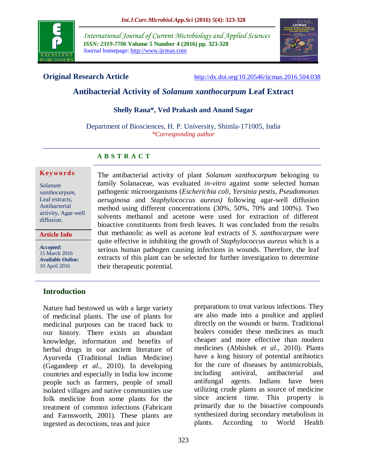

*International Journal of Current Microbiology and Applied Sciences ISSN: 2319-7706* **Volume 5 Number 4 (2016) pp. 323-328** Journal homepage: http://www.ijcmas.com



**Original Research Article** <http://dx.doi.org/10.20546/ijcmas.2016.504.038>

# **Antibacterial Activity of** *Solanum xanthocarpum* **Leaf Extract**

#### **Shelly Rana\*, Ved Prakash and Anand Sagar**

Department of Biosciences, H. P. University, Shimla-171005, India *\*Corresponding author*

#### **A B S T R A C T**

#### **K ey w o rd s**

*Solanum xanthocarpum,* Leaf extracts, Antibacterial activity, Agar-well diffusion.

#### **Article Info**

*Accepted:*  15 March 2016 *Available Online:* 10 April 2016

family Solanaceae, was evaluated *in-vitro* against some selected human pathogenic microorganisms (*Escherichia coli*, *Yersinia pestis, Pseudomonas aeruginosa* and *Staphylococcus aureus)* following agar-well diffusion method using different concentrations (30%, 50%, 70% and 100%). Two solvents methanol and acetone were used for extraction of different bioactive constituents from fresh leaves. It was concluded from the results that methanolic as well as acetone leaf extracts of *S. xanthocarpum* were quite effective in inhibiting the growth of *Staphylococcus aureus* which is a serious human pathogen causing infections in wounds. Therefore, the leaf extracts of this plant can be selected for further investigation to determine their therapeutic potential.

The antibacterial activity of plant *Solanum xanthocarpum* belonging to

## **Introduction**

Nature had bestowed us with a large variety of medicinal plants. The use of plants for medicinal purposes can be traced back to our history. There exists an abundant knowledge, information and benefits of herbal drugs in our ancient literature of Ayurveda (Traditional Indian Medicine) (Gagandeep *et al*., 2010). In developing countries and especially in India low income people such as farmers, people of small isolated villages and native communities use folk medicine from some plants for the treatment of common infections (Fabricant and Farnsworth, 2001). These plants are ingested as decoctions, teas and juice

preparations to treat various infections. They are also made into a poultice and applied directly on the wounds or burns. Traditional healers consider these medicines as much cheaper and more effective than modern medicines (Abhishek *et al*., 2010). Plants have a long history of potential antibiotics for the cure of diseases by antimicrobials, including antiviral, antibacterial and antifungal agents. Indians have been utilizing crude plants as source of medicine since ancient time. This property is primarily due to the bioactive compounds synthesized during secondary metabolism in plants. According to World Health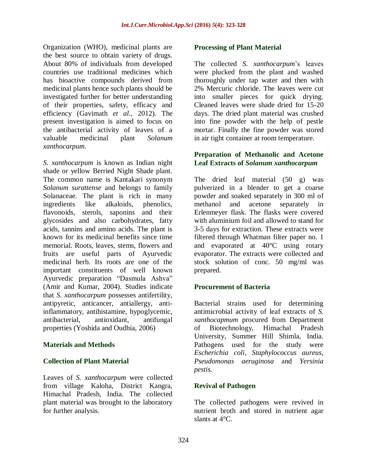Organization (WHO), medicinal plants are the best source to obtain variety of drugs. About 80% of individuals from developed countries use traditional medicines which has bioactive compounds derived from medicinal plants hence such plants should be investigated further for better understanding of their properties, safety, efficacy and efficiency (Gavimath *et al*., 2012). The present investigation is aimed to focus on the antibacterial activity of leaves of a valuable medicinal plant *Solanum xanthocarpum.*

*S. xanthocarpum* is known as Indian night shade or yellow Berried Night Shade plant. The common name is Kantakari synonym *Solanum surattense* and belongs to family Solanaceae. The plant is rich in many ingredients like alkaloids, phenolics, flavonoids, sterols, saponins and their glycosides and also carbohydrates, fatty acids, tannins and amino acids. The plant is known for its medicinal benefits since time memorial. Roots, leaves, stems, flowers and fruits are useful parts of Ayurvedic medicinal herb. Its roots are one of the important constituents of well known Ayurvedic preparation "Dasmula Ashva" (Amir and Kumar, 2004). Studies indicate that *S. xanthocarpum* possesses antifertility, antipyretic, anticancer, antiallergy, antiinflammatory, antihistamine, hypoglycemic, antibacterial, antioxidant, antifungal properties (Yoshida and Oudhia, 2006)

## **Materials and Methods**

## **Collection of Plant Material**

Leaves of *S. xanthocarpum* were collected from village Kaloha, District Kangra, Himachal Pradesh, India. The collected plant material was brought to the laboratory for further analysis.

#### **Processing of Plant Material**

The collected *S. xanthocarpum*'s leaves were plucked from the plant and washed thoroughly under tap water and then with 2% Mercuric chloride. The leaves were cut into smaller pieces for quick drying. Cleaned leaves were shade dried for 15-20 days. The dried plant material was crushed into fine powder with the help of pestle mortar. Finally the fine powder was stored in air tight container at room temperature.

#### **Preparation of Methanolic and Acetone Leaf Extracts of** *Solanum xanthocarpum*

The dried leaf material (50 g) was pulverized in a blender to get a coarse powder and soaked separately in 300 ml of methanol and acetone separately in Erlenmeyer flask. The flasks were covered with aluminium foil and allowed to stand for 3-5 days for extraction. These extracts were filtered through Whatman filter paper no. 1 and evaporated at 40°C using rotary evaporator. The extracts were collected and stock solution of conc. 50 mg/ml was prepared.

## **Procurement of Bacteria**

Bacterial strains used for determining antimicrobial activity of leaf extracts of *S. xanthocapmum* procured from Department of Biotechnology, Himachal Pradesh University, Summer Hill Shimla, India. Pathogens used for the study were *Escherichia coli, Staphylococcus aureus, Pseudomonas aeruginosa* and *Yersinia pestis.*

## **Revival of Pathogen**

The collected pathogens were revived in nutrient broth and stored in nutrient agar slants at 4°C.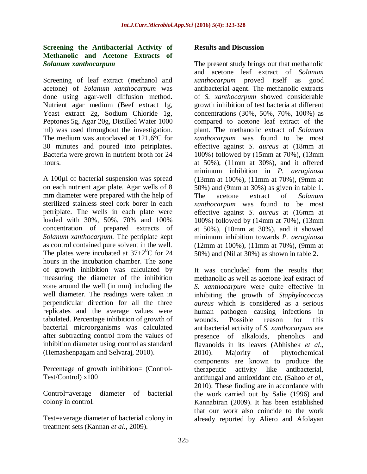### **Screening the Antibacterial Activity of Methanolic and Acetone Extracts of**  *Solanum xanthocarpum*

Screening of leaf extract (methanol and acetone) of *Solanum xanthocarpum* was done using agar-well diffusion method. Nutrient agar medium (Beef extract 1g, Yeast extract 2g, Sodium Chloride 1g, Peptones 5g, Agar 20g, Distilled Water 1000 ml) was used throughout the investigation. The medium was autoclaved at 121.6°C for 30 minutes and poured into petriplates. Bacteria were grown in nutrient broth for 24 hours.

A 100µl of bacterial suspension was spread on each nutrient agar plate. Agar wells of 8 mm diameter were prepared with the help of sterilized stainless steel cork borer in each petriplate. The wells in each plate were loaded with 30%, 50%, 70% and 100% concentration of prepared extracts of *Solanum xanthocarpum.* The petriplate kept as control contained pure solvent in the well. The plates were incubated at  $37\pm2\degree$ C for 24 hours in the incubation chamber. The zone of growth inhibition was calculated by measuring the diameter of the inhibition zone around the well (in mm) including the well diameter. The readings were taken in perpendicular direction for all the three replicates and the average values were tabulated. Percentage inhibition of growth of bacterial microorganisms was calculated after subtracting control from the values of inhibition diameter using control as standard (Hemashenpagam and Selvaraj, 2010).

Percentage of growth inhibition= (Control-Test/Control) x100

Control=average diameter of bacterial colony in control.

Test=average diameter of bacterial colony in treatment sets (Kannan *et al.,* 2009).

### **Results and Discussion**

The present study brings out that methanolic and acetone leaf extract of *Solanum xanthocarpum* proved itself as good antibacterial agent. The methanolic extracts of *S. xanthocarpum* showed considerable growth inhibition of test bacteria at different concentrations (30%, 50%, 70%, 100%) as compared to acetone leaf extract of the plant. The methanolic extract of *Solanum xanthocarpum* was found to be most effective against *S. aureus* at (18mm at 100%) followed by (15mm at 70%), (13mm at 50%), (11mm at 30%), and it offered minimum inhibition in *P. aeruginosa* (13mm at 100%), (11mm at 70%), (9mm at 50%) and (9mm at 30%) as given in table 1. The acetone extract of *Solanum xanthocarpum* was found to be most effective against *S. aureus* at (16mm at 100%) followed by (14mm at 70%), (13mm at 50%), (10mm at 30%), and it showed minimum inhibition towards *P. aeruginosa* (12mm at 100%), (11mm at 70%), (9mm at 50%) and (Nil at 30%) as shown in table 2.

It was concluded from the results that methanolic as well as acetone leaf extract of *S. xanthocarpum* were quite effective in inhibiting the growth of *Staphylococcus aureus* which is considered as a serious human pathogen causing infections in wounds. Possible reason for this antibacterial activity of *S. xanthocarpum* are presence of alkaloids, phenolics and flavanoids in its leaves (Abhishek *et al*., 2010). Majority of phytochemical components are known to produce the therapeutic activity like antibacterial, antifungal and antioxidant etc. (Sahoo *et al.,* 2010). These finding are in accordance with the work carried out by Salie (1996) and Kannabiran (2009). It has been established that our work also coincide to the work already reported by Aliero and Afolayan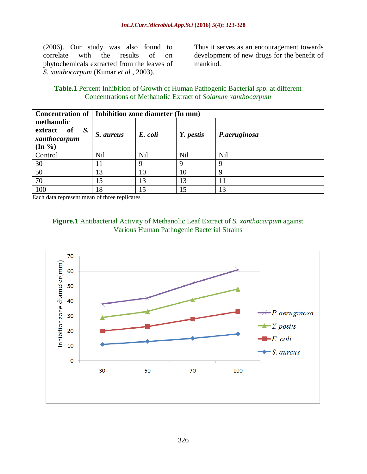(2006). Our study was also found to correlate with the results of on phytochemicals extracted from the leaves of *S. xanthocarpum* (Kumar *et al.,* 2003).

Thus it serves as an encouragement towards development of new drugs for the benefit of mankind.

#### **Table.1** Percent Inhibition of Growth of Human Pathogenic Bacterial *spp*. at different Concentrations of Methanolic Extract of *Solanum xanthocarpum*

|                                                                  | Concentration of   Inhibition zone diameter (In mm) |         |           |              |  |
|------------------------------------------------------------------|-----------------------------------------------------|---------|-----------|--------------|--|
| methanolic<br>extract of S.<br>xanthocarpum<br>$(\text{In } \%)$ | S. aureus                                           | E. coli | Y. pestis | P.aeruginosa |  |
| Control                                                          | <b>Nil</b>                                          | Nil     | Nil       | Nil          |  |
| 30                                                               |                                                     | Q       | 9         | 9            |  |
| 50                                                               | 13                                                  | 10      | 10        | 9            |  |
| 70                                                               | 15                                                  | 13      | 13        |              |  |
| 100                                                              | 18                                                  | 15      |           | 13           |  |

Each data represent mean of three replicates

# **Figure.1** Antibacterial Activity of Methanolic Leaf Extract of *S. xanthocarpum* against Various Human Pathogenic Bacterial Strains

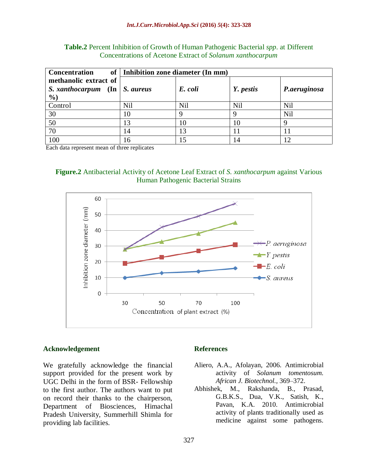| <b>Concentration</b>                 | of   Inhibition zone diameter (In mm) |         |           |              |  |  |
|--------------------------------------|---------------------------------------|---------|-----------|--------------|--|--|
| methanolic extract of                |                                       |         |           |              |  |  |
| S. xanthocarpum (In $\mid$ S. aureus |                                       | E. coli | Y. pestis | P.aeruginosa |  |  |
| $\frac{6}{2}$                        |                                       |         |           |              |  |  |
| Control                              | <b>Nil</b>                            | Nil     | Nil       | Nil          |  |  |
| 30                                   | 10                                    |         |           | Nil          |  |  |
| 50                                   | 13                                    | 10      | 10        |              |  |  |
| 70                                   | 14                                    | 13      |           |              |  |  |
| 100                                  | 16                                    |         | 14        |              |  |  |

**Table.2** Percent Inhibition of Growth of Human Pathogenic Bacterial *spp*. at Different Concentrations of Acetone Extract of *Solanum xanthocarpum*

Each data represent mean of three replicates





#### **Acknowledgement**

We gratefully acknowledge the financial support provided for the present work by UGC Delhi in the form of BSR- Fellowship to the first author. The authors want to put on record their thanks to the chairperson, Department of Biosciences, Himachal Pradesh University, Summerhill Shimla for providing lab facilities.

#### **References**

- Aliero, A.A., Afolayan, 2006. Antimicrobial activity of *Solanum tomentosum. African J. Biotechnol.,* 369–372.
- Abhishek, M., Rakshanda, B., Prasad, G.B.K.S., Dua, V.K., Satish, K., Pavan, K.A. 2010. Antimicrobial activity of plants traditionally used as medicine against some pathogens.